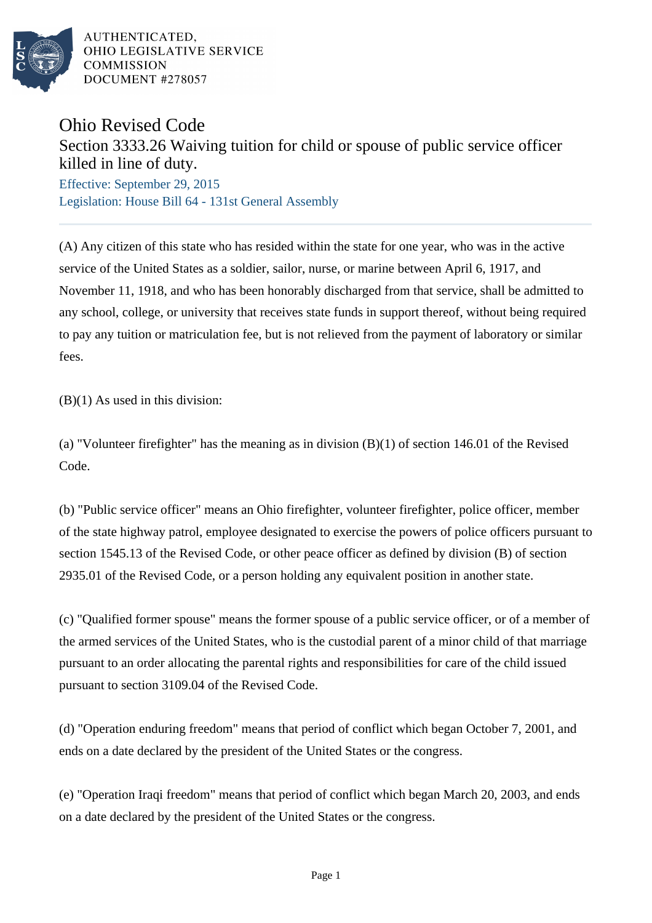

AUTHENTICATED. OHIO LEGISLATIVE SERVICE **COMMISSION** DOCUMENT #278057

## Ohio Revised Code

## Section 3333.26 Waiving tuition for child or spouse of public service officer killed in line of duty.

Effective: September 29, 2015 Legislation: House Bill 64 - 131st General Assembly

(A) Any citizen of this state who has resided within the state for one year, who was in the active service of the United States as a soldier, sailor, nurse, or marine between April 6, 1917, and November 11, 1918, and who has been honorably discharged from that service, shall be admitted to any school, college, or university that receives state funds in support thereof, without being required to pay any tuition or matriculation fee, but is not relieved from the payment of laboratory or similar fees.

 $(B)(1)$  As used in this division:

(a) "Volunteer firefighter" has the meaning as in division (B)(1) of section 146.01 of the Revised Code.

(b) "Public service officer" means an Ohio firefighter, volunteer firefighter, police officer, member of the state highway patrol, employee designated to exercise the powers of police officers pursuant to section 1545.13 of the Revised Code, or other peace officer as defined by division (B) of section 2935.01 of the Revised Code, or a person holding any equivalent position in another state.

(c) "Qualified former spouse" means the former spouse of a public service officer, or of a member of the armed services of the United States, who is the custodial parent of a minor child of that marriage pursuant to an order allocating the parental rights and responsibilities for care of the child issued pursuant to section 3109.04 of the Revised Code.

(d) "Operation enduring freedom" means that period of conflict which began October 7, 2001, and ends on a date declared by the president of the United States or the congress.

(e) "Operation Iraqi freedom" means that period of conflict which began March 20, 2003, and ends on a date declared by the president of the United States or the congress.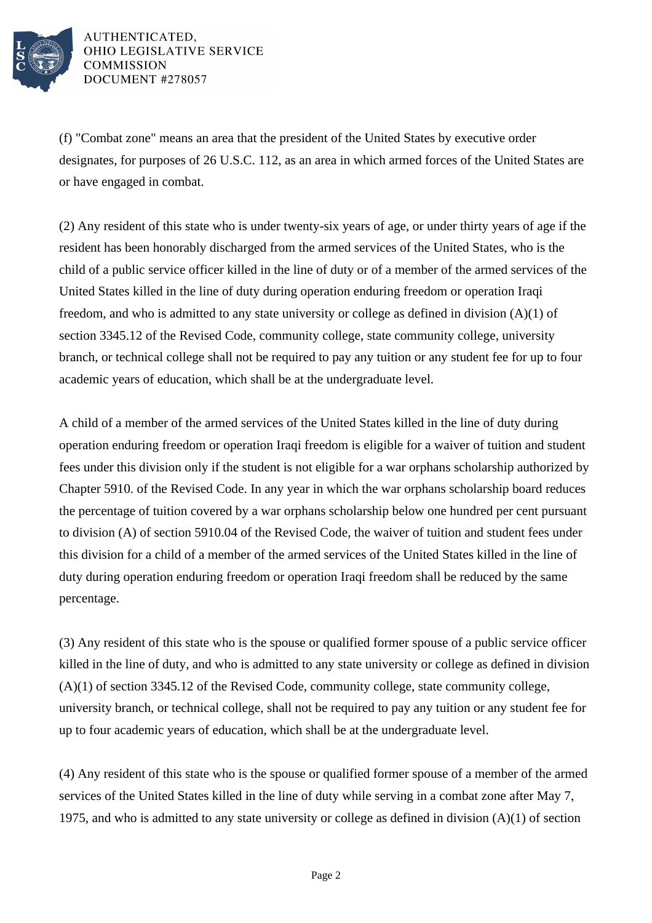

AUTHENTICATED. OHIO LEGISLATIVE SERVICE **COMMISSION** DOCUMENT #278057

(f) "Combat zone" means an area that the president of the United States by executive order designates, for purposes of 26 U.S.C. 112, as an area in which armed forces of the United States are or have engaged in combat.

(2) Any resident of this state who is under twenty-six years of age, or under thirty years of age if the resident has been honorably discharged from the armed services of the United States, who is the child of a public service officer killed in the line of duty or of a member of the armed services of the United States killed in the line of duty during operation enduring freedom or operation Iraqi freedom, and who is admitted to any state university or college as defined in division (A)(1) of section 3345.12 of the Revised Code, community college, state community college, university branch, or technical college shall not be required to pay any tuition or any student fee for up to four academic years of education, which shall be at the undergraduate level.

A child of a member of the armed services of the United States killed in the line of duty during operation enduring freedom or operation Iraqi freedom is eligible for a waiver of tuition and student fees under this division only if the student is not eligible for a war orphans scholarship authorized by Chapter 5910. of the Revised Code. In any year in which the war orphans scholarship board reduces the percentage of tuition covered by a war orphans scholarship below one hundred per cent pursuant to division (A) of section 5910.04 of the Revised Code, the waiver of tuition and student fees under this division for a child of a member of the armed services of the United States killed in the line of duty during operation enduring freedom or operation Iraqi freedom shall be reduced by the same percentage.

(3) Any resident of this state who is the spouse or qualified former spouse of a public service officer killed in the line of duty, and who is admitted to any state university or college as defined in division (A)(1) of section 3345.12 of the Revised Code, community college, state community college, university branch, or technical college, shall not be required to pay any tuition or any student fee for up to four academic years of education, which shall be at the undergraduate level.

(4) Any resident of this state who is the spouse or qualified former spouse of a member of the armed services of the United States killed in the line of duty while serving in a combat zone after May 7, 1975, and who is admitted to any state university or college as defined in division (A)(1) of section